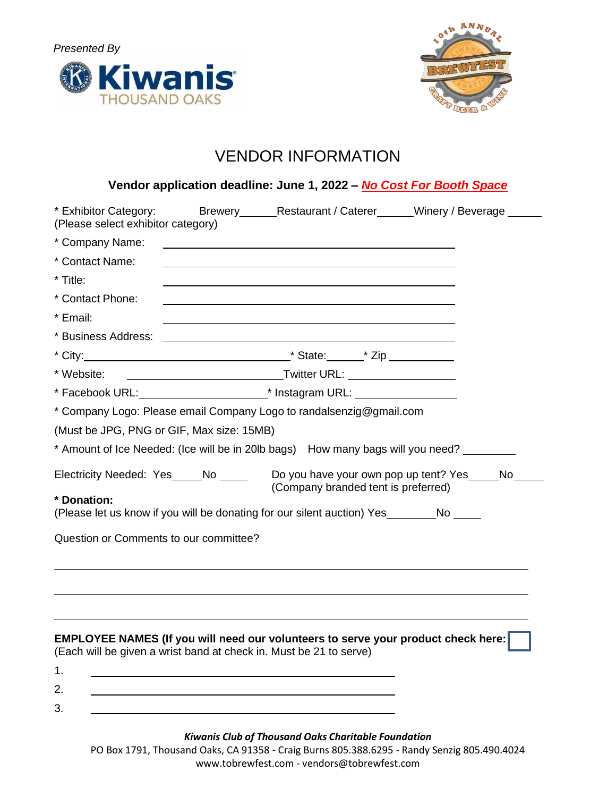



# VENDOR INFORMATION

|                                                                     |  | Vendor application deadline: June 1, 2022 - No Cost For Booth Space                                                       |                                                                    |  |  |
|---------------------------------------------------------------------|--|---------------------------------------------------------------------------------------------------------------------------|--------------------------------------------------------------------|--|--|
| * Exhibitor Category:<br>(Please select exhibitor category)         |  |                                                                                                                           | Brewery________Restaurant / Caterer_______Winery / Beverage ______ |  |  |
| * Company Name:                                                     |  |                                                                                                                           |                                                                    |  |  |
| * Contact Name:                                                     |  |                                                                                                                           |                                                                    |  |  |
| * Title:                                                            |  |                                                                                                                           |                                                                    |  |  |
| * Contact Phone:                                                    |  |                                                                                                                           |                                                                    |  |  |
| * Email:                                                            |  | <u> 1989 - Johann Barn, mars ann an t-Amhain ann an t-Amhain ann an t-Amhain ann an t-Amhain an t-Amhain ann an t-</u>    |                                                                    |  |  |
| * Business Address:                                                 |  | <u> 1989 - Johann Stoff, deutscher Stoff, der Stoff, der Stoff, der Stoff, der Stoff, der Stoff, der Stoff, der S</u>     |                                                                    |  |  |
|                                                                     |  |                                                                                                                           |                                                                    |  |  |
| * Website:                                                          |  |                                                                                                                           |                                                                    |  |  |
|                                                                     |  |                                                                                                                           |                                                                    |  |  |
| * Company Logo: Please email Company Logo to randalsenzig@gmail.com |  |                                                                                                                           |                                                                    |  |  |
| (Must be JPG, PNG or GIF, Max size: 15MB)                           |  |                                                                                                                           |                                                                    |  |  |
|                                                                     |  | * Amount of Ice Needed: (Ice will be in 20lb bags) How many bags will you need?                                           |                                                                    |  |  |
|                                                                     |  | Electricity Needed: Yes_____No _____ Do you have your own pop up tent? Yes_____No_<br>(Company branded tent is preferred) |                                                                    |  |  |
| * Donation:                                                         |  | (Please let us know if you will be donating for our silent auction) Yes No                                                |                                                                    |  |  |
| Question or Comments to our committee?                              |  |                                                                                                                           |                                                                    |  |  |
|                                                                     |  |                                                                                                                           |                                                                    |  |  |
| (Each will be given a wrist band at check in. Must be 21 to serve)  |  | EMPLOYEE NAMES (If you will need our volunteers to serve your product check here:                                         |                                                                    |  |  |
| 1.                                                                  |  |                                                                                                                           |                                                                    |  |  |
| 2.                                                                  |  |                                                                                                                           |                                                                    |  |  |
| 3.                                                                  |  |                                                                                                                           |                                                                    |  |  |
|                                                                     |  |                                                                                                                           |                                                                    |  |  |

### *Kiwanis Club of Thousand Oaks Charitable Foundation*

PO Box 1791, Thousand Oaks, CA 91358 - Craig Burns 805.388.6295 - Randy Senzig 805.490.4024 [www.tobrewfest.com](http://www.tobrewfest.com/) - [vendors@tobrewfest.com](mailto:vendors@tobrewfest.com)